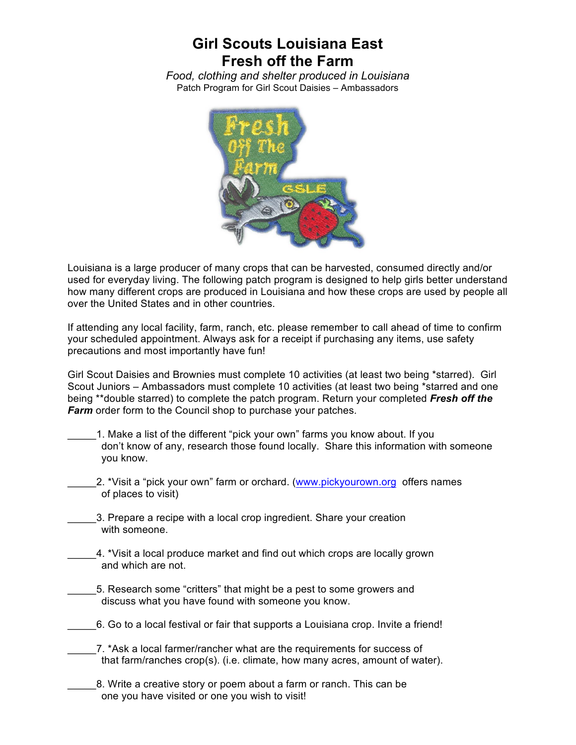## **Girl Scouts Louisiana East Fresh off the Farm**

*Food, clothing and shelter produced in Louisiana* Patch Program for Girl Scout Daisies – Ambassadors



Louisiana is a large producer of many crops that can be harvested, consumed directly and/or used for everyday living. The following patch program is designed to help girls better understand how many different crops are produced in Louisiana and how these crops are used by people all over the United States and in other countries.

If attending any local facility, farm, ranch, etc. please remember to call ahead of time to confirm your scheduled appointment. Always ask for a receipt if purchasing any items, use safety precautions and most importantly have fun!

Girl Scout Daisies and Brownies must complete 10 activities (at least two being \*starred). Girl Scout Juniors – Ambassadors must complete 10 activities (at least two being \*starred and one being \*\*double starred) to complete the patch program. Return your completed *Fresh off the Farm* order form to the Council shop to purchase your patches.

- 1. Make a list of the different "pick your own" farms you know about. If you don't know of any, research those found locally. Share this information with someone you know.
	- 2. \*Visit a "pick your own" farm or orchard. (www.pickyourown.org offers names of places to visit)
- 3. Prepare a recipe with a local crop ingredient. Share your creation with someone.
	- \_\_\_\_\_4. \*Visit a local produce market and find out which crops are locally grown and which are not.
		- \_\_\_\_\_5. Research some "critters" that might be a pest to some growers and discuss what you have found with someone you know.
- \_\_\_\_\_6. Go to a local festival or fair that supports a Louisiana crop. Invite a friend!
- \_\_\_\_\_7. \*Ask a local farmer/rancher what are the requirements for success of that farm/ranches crop(s). (i.e. climate, how many acres, amount of water).
- \_\_\_\_\_8. Write a creative story or poem about a farm or ranch. This can be one you have visited or one you wish to visit!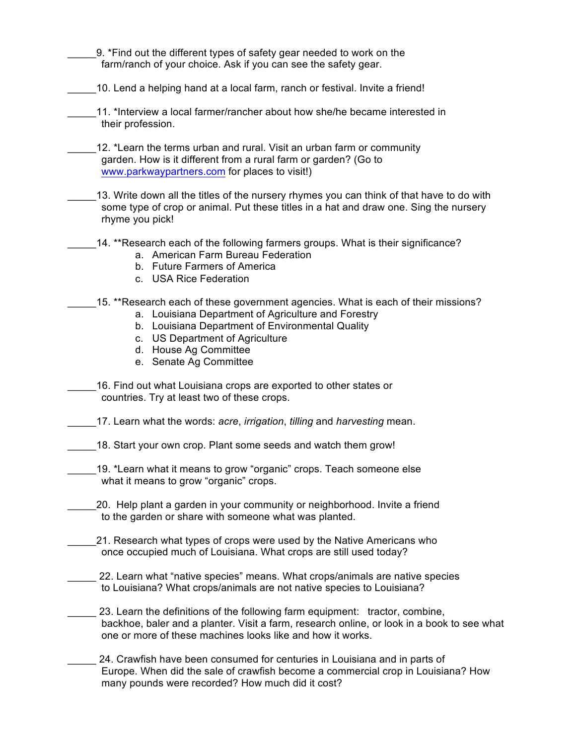9. \*Find out the different types of safety gear needed to work on the farm/ranch of your choice. Ask if you can see the safety gear.

\_\_\_\_\_10. Lend a helping hand at a local farm, ranch or festival. Invite a friend!

11. \*Interview a local farmer/rancher about how she/he became interested in their profession.

12. \*Learn the terms urban and rural. Visit an urban farm or community garden. How is it different from a rural farm or garden? (Go to www.parkwaypartners.com for places to visit!)

13. Write down all the titles of the nursery rhymes you can think of that have to do with some type of crop or animal. Put these titles in a hat and draw one. Sing the nursery rhyme you pick!

## 14. \*\*Research each of the following farmers groups. What is their significance?

- a. American Farm Bureau Federation
- b. Future Farmers of America
- c. USA Rice Federation

## 15. \*\*Research each of these government agencies. What is each of their missions?

- a. Louisiana Department of Agriculture and Forestry
- b. Louisiana Department of Environmental Quality
- c. US Department of Agriculture
- d. House Ag Committee
- e. Senate Ag Committee

\_\_\_\_\_16. Find out what Louisiana crops are exported to other states or countries. Try at least two of these crops.

\_\_\_\_\_17. Learn what the words: *acre*, *irrigation*, *tilling* and *harvesting* mean.

18. Start your own crop. Plant some seeds and watch them grow!

19. \*Learn what it means to grow "organic" crops. Teach someone else what it means to grow "organic" crops.

\_\_\_\_\_20. Help plant a garden in your community or neighborhood. Invite a friend to the garden or share with someone what was planted.

21. Research what types of crops were used by the Native Americans who once occupied much of Louisiana. What crops are still used today?

\_\_\_\_\_ 22. Learn what "native species" means. What crops/animals are native species to Louisiana? What crops/animals are not native species to Louisiana?

23. Learn the definitions of the following farm equipment: tractor, combine, backhoe, baler and a planter. Visit a farm, research online, or look in a book to see what one or more of these machines looks like and how it works.

24. Crawfish have been consumed for centuries in Louisiana and in parts of Europe. When did the sale of crawfish become a commercial crop in Louisiana? How many pounds were recorded? How much did it cost?